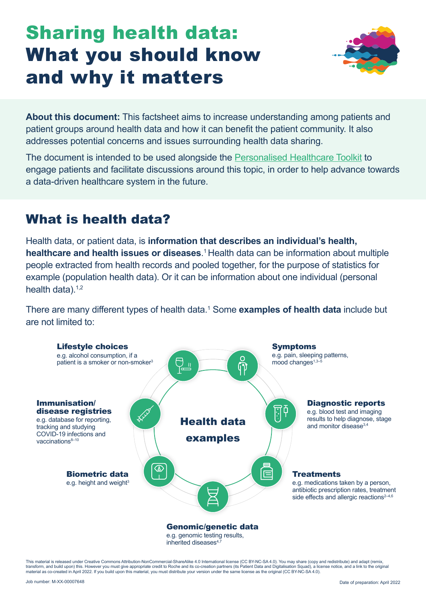# Sharing health data: What you should know and why it matters



**About this document:** This factsheet aims to increase understanding among patients and patient groups around health data and how it can benefit the patient community. It also addresses potential concerns and issues surrounding health data sharing.

The document is intended to be used alongside the [Personalised Healthcare Toolkit](https://www.ieepo.com/en/useful-resources/phc-community-hub/personalised-healthcare-toolkit-for-the-patient-community.html) to engage patients and facilitate discussions around this topic, in order to help advance towards a data-driven healthcare system in the future.

## What is health data?

Health data, or patient data, is **information that describes an individual's health, healthcare and health issues or diseases**.<sup>1</sup> Health data can be information about multiple people extracted from health records and pooled together, for the purpose of statistics for example (population health data). Or it can be information about one individual (personal health data). $1,2$ 

There are many different types of health data.<sup>1</sup> Some **examples of health data** include but are not limited to:

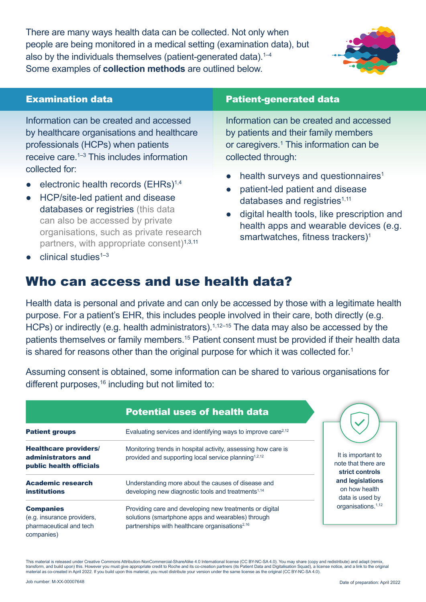There are many ways health data can be collected. Not only when people are being monitored in a medical setting (examination data), but also by the individuals themselves (patient-generated data).<sup>1-4</sup> Some examples of **collection methods** are outlined below.



Information can be created and accessed by healthcare organisations and healthcare professionals (HCPs) when patients receive care.1–3 This includes information collected for:

- electronic health records  $(EHRs)^{1,4}$
- HCP/site-led patient and disease databases or registries (this data can also be accessed by private organisations, such as private research partners, with appropriate consent)<sup>1,3,11</sup>

### **Examination data Examination data Patient-generated data**

Information can be created and accessed by patients and their family members or caregivers.<sup>1</sup> This information can be collected through:

- health surveys and questionnaires<sup>1</sup>
- patient-led patient and disease databases and registries $1,11$
- digital health tools, like prescription and health apps and wearable devices (e.g. smartwatches, fitness trackers)<sup>1</sup>

clinical studies $1-3$ 

## Who can access and use health data?

Health data is personal and private and can only be accessed by those with a legitimate health purpose. For a patient's EHR, this includes people involved in their care, both directly (e.g. HCPs) or indirectly (e.g. health administrators).<sup>1,12–15</sup> The data may also be accessed by the patients themselves or family members.<sup>15</sup> Patient consent must be provided if their health data is shared for reasons other than the original purpose for which it was collected for.<sup>1</sup>

Assuming consent is obtained, some information can be shared to various organisations for different purposes,<sup>16</sup> including but not limited to:

|                                                                                         | <b>Potential uses of health data</b>                                                                                                                                       |                                                                                                                                                        |
|-----------------------------------------------------------------------------------------|----------------------------------------------------------------------------------------------------------------------------------------------------------------------------|--------------------------------------------------------------------------------------------------------------------------------------------------------|
| <b>Patient groups</b>                                                                   | Evaluating services and identifying ways to improve care <sup><math>2,12</math></sup>                                                                                      |                                                                                                                                                        |
| <b>Healthcare providers/</b><br>administrators and<br>public health officials           | Monitoring trends in hospital activity, assessing how care is<br>provided and supporting local service planning <sup>1,2,12</sup>                                          | It is important to<br>note that there are<br>strict controls<br>and legislations<br>on how health<br>data is used by<br>organisations. <sup>1,12</sup> |
| <b>Academic research</b><br><b>institutions</b>                                         | Understanding more about the causes of disease and<br>developing new diagnostic tools and treatments <sup>1,14</sup>                                                       |                                                                                                                                                        |
| <b>Companies</b><br>(e.g. insurance providers,<br>pharmaceutical and tech<br>companies) | Providing care and developing new treatments or digital<br>solutions (smartphone apps and wearables) through<br>partnerships with healthcare organisations <sup>2,16</sup> |                                                                                                                                                        |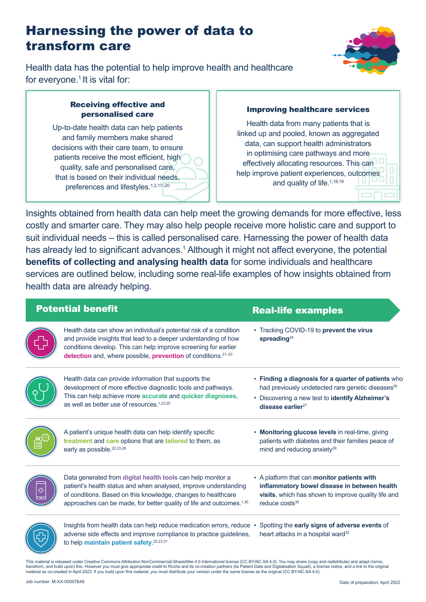## Harnessing the power of data to transform care



Health data has the potential to help improve health and healthcare for everyone.<sup>1</sup> It is vital for:

#### Receiving effective and personalised care

Up-to-date health data can help patients and family members make shared decisions with their care team, to ensure patients receive the most efficient, high quality, safe and personalised care, that is based on their individual needs, preferences and lifestyles.<sup>1,2,17-20</sup>

### Improving healthcare services

Health data from many patients that is linked up and pooled, known as aggregated data, can support health administrators in optimising care pathways and more effectively allocating resources. This can help improve patient experiences, outcomes and quality of life.<sup>1,18,19</sup>

Insights obtained from health data can help meet the growing demands for more effective, less costly and smarter care. They may also help people receive more holistic care and support to suit individual needs – this is called personalised care. Harnessing the power of health data has already led to significant advances.<sup>1</sup> Although it might not affect everyone, the potential **benefits of collecting and analysing health data** for some individuals and healthcare services are outlined below, including some real-life examples of how insights obtained from health data are already helping.

| <b>Potential benefit</b> |                                                                                                                                                                                                                                                                                       | <b>Real-life examples</b>                                                                                                                                                                                 |  |
|--------------------------|---------------------------------------------------------------------------------------------------------------------------------------------------------------------------------------------------------------------------------------------------------------------------------------|-----------------------------------------------------------------------------------------------------------------------------------------------------------------------------------------------------------|--|
|                          | Health data can show an individual's potential risk of a condition<br>and provide insights that lead to a deeper understanding of how<br>conditions develop. This can help improve screening for earlier<br>detection and, where possible, prevention of conditions. <sup>21-23</sup> | • Tracking COVID-19 to prevent the virus<br>spreading $^{24}$                                                                                                                                             |  |
|                          | Health data can provide information that supports the<br>development of more effective diagnostic tools and pathways.<br>This can help achieve more accurate and quicker diagnoses,<br>as well as better use of resources. <sup>1,23,25</sup>                                         | • Finding a diagnosis for a quarter of patients who<br>had previously undetected rare genetic diseases <sup>26</sup><br>• Discovering a new test to identify Alzheimer's<br>disease earlier <sup>27</sup> |  |
|                          | A patient's unique health data can help identify specific<br>treatment and care options that are tailored to them, as<br>early as possible. <sup>22,23,28</sup>                                                                                                                       | Monitoring glucose levels in real-time, giving<br>٠<br>patients with diabetes and their families peace of<br>mind and reducing anxiety <sup>29</sup>                                                      |  |
|                          | Data generated from digital health tools can help monitor a<br>patient's health status and when analysed, improve understanding<br>of conditions. Based on this knowledge, changes to healthcare<br>approaches can be made, for better quality of life and outcomes. <sup>1,30</sup>  | • A platform that can monitor patients with<br>inflammatory bowel disease in between health<br>visits, which has shown to improve quality life and<br>reduce costs <sup>30</sup>                          |  |
|                          | lnsights from health data can help reduce medication errors, reduce •<br>adverse side effects and improve compliance to practice guidelines,<br>to help maintain patient safety. <sup>22,23,31</sup>                                                                                  | Spotting the early signs of adverse events of<br>heart attacks in a hospital ward <sup>32</sup>                                                                                                           |  |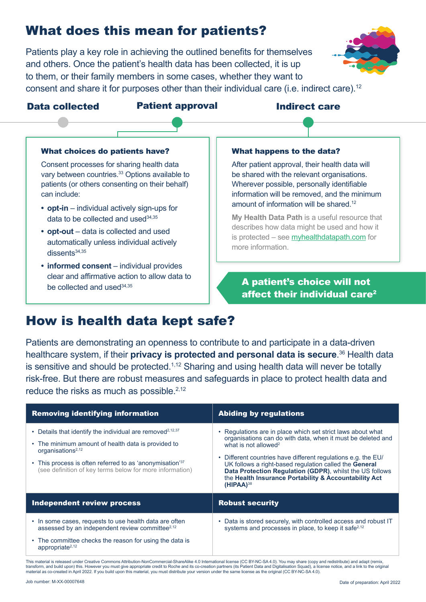## What does this mean for patients?

Patients play a key role in achieving the outlined benefits for themselves and others. Once the patient's health data has been collected, it is up to them, or their family members in some cases, whether they want to consent and share it for purposes other than their individual care (i.e. indirect care).12



#### Data collected Patient approval and Indirect care

#### What choices do patients have?

Consent processes for sharing health data vary between countries.<sup>33</sup> Options available to patients (or others consenting on their behalf) can include:

- **• opt-in** individual actively sign-ups for data to be collected and used $34,35$
- **• opt-out** data is collected and used automatically unless individual actively dissents<sup>34,35</sup>
- **• informed consent** individual provides clear and affirmative action to allow data to be collected and used34,35

#### What happens to the data?

After patient approval, their health data will be shared with the relevant organisations. Wherever possible, personally identifiable information will be removed, and the minimum amount of information will be shared.<sup>12</sup>

**My Health Data Path** is a useful resource that describes how data might be used and how it is protected – see [myhealthdatapath.com](http://myhealthdatapath.com) for more information.

### A patient's choice will not affect their individual care<sup>2</sup>

## How is health data kept safe?

Patients are demonstrating an openness to contribute to and participate in a data-driven healthcare system, if their **privacy is protected and personal data is secure**. 36 Health data is sensitive and should be protected.<sup> $1,12$ </sup> Sharing and using health data will never be totally risk-free. But there are robust measures and safeguards in place to protect health data and reduce the risks as much as possible. $2,12$ 

| <b>Removing identifying information</b>                                                                                                                                                                                                                                                          | <b>Abiding by regulations</b>                                                                                                                                                                                                                                                                                                                                                                                                             |  |
|--------------------------------------------------------------------------------------------------------------------------------------------------------------------------------------------------------------------------------------------------------------------------------------------------|-------------------------------------------------------------------------------------------------------------------------------------------------------------------------------------------------------------------------------------------------------------------------------------------------------------------------------------------------------------------------------------------------------------------------------------------|--|
| • Details that identify the individual are removed <sup>2,12,37</sup><br>• The minimum amount of health data is provided to<br>organisations <sup>2,12</sup><br>• This process is often referred to as 'anonymisation' <sup>37</sup><br>(see definition of key terms below for more information) | • Regulations are in place which set strict laws about what<br>organisations can do with data, when it must be deleted and<br>what is not allowed <sup>2</sup><br>• Different countries have different regulations e.g. the EU/<br>UK follows a right-based regulation called the General<br>Data Protection Regulation (GDPR), whilst the US follows<br>the Health Insurance Portability & Accountability Act<br>$(HIPAA)$ <sup>38</sup> |  |
| Independent review process                                                                                                                                                                                                                                                                       | <b>Robust security</b>                                                                                                                                                                                                                                                                                                                                                                                                                    |  |
| • In some cases, requests to use health data are often<br>assessed by an independent review committee <sup>2,12</sup><br>• The committee checks the reason for using the data is<br>appropriate <sup>2,12</sup>                                                                                  | • Data is stored securely, with controlled access and robust IT<br>systems and processes in place, to keep it safe <sup>2,12</sup>                                                                                                                                                                                                                                                                                                        |  |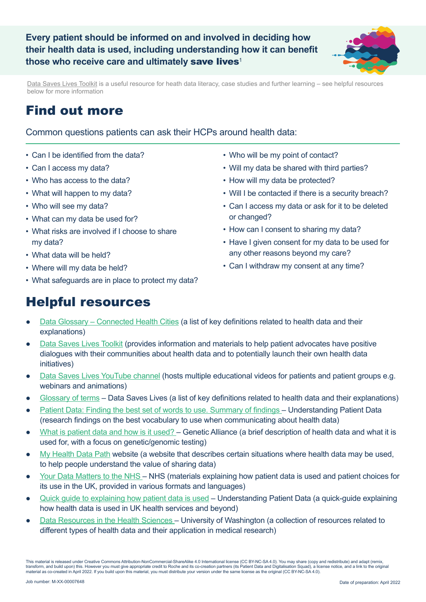

[Data Saves Lives Toolkit](https://datasaveslives.eu/toolkit) is a useful resource for heath data literacy, case studies and further learning – see helpful resources below for more information

## Find out more

Common questions patients can ask their HCPs around health data:

- Can I be identified from the data?
- Can I access my data?
- Who has access to the data?
- What will happen to my data?
- Who will see my data?
- What can my data be used for?
- What risks are involved if I choose to share my data?
- What data will be held?
- Where will my data be held?
- What safeguards are in place to protect my data?
- Who will be my point of contact?
- Will my data be shared with third parties?
- How will my data be protected?
- Will I be contacted if there is a security breach?
- Can I access my data or ask for it to be deleted or changed?
- How can I consent to sharing my data?
- Have I given consent for my data to be used for any other reasons beyond my care?
- Can I withdraw my consent at any time?

## Helpful resources

- [Data Glossary](https://www.connectedhealthcities.org/community/glossary-data-use/) Connected Health Cities (a list of key definitions related to health data and their explanations)
- [Data Saves Lives Toolkit](https://datasaveslives.eu/toolkit) (provides information and materials to help patient advocates have positive dialogues with their communities about health data and to potentially launch their own health data initiatives)
- [Data Saves Lives YouTube channel](https://www.youtube.com/hashtag/datasaveslives) (hosts multiple educational videos for patients and patient groups e.g. webinars and animations)
- [Glossary of terms](https://datasaveslives.eu/glossary) Data Saves Lives (a list of key definitions related to health data and their explanations)
- [Patient Data: Finding the best set of words to use. Summary of findings](https://understandingpatientdata.org.uk/sites/default/files/2017-04/Data vocabulary_Good Business report March 2017_0.pdf)  Understanding Patient Data (research findings on the best vocabulary to use when communicating about health data)
- [What is patient data and how is it used?](https://geneticalliance.org.uk/information/research-and-innovation/what-is-patient-data-and-how-is-it-used/)  Genetic Alliance (a brief description of health data and what it is used for, with a focus on genetic/genomic testing)
- [My Health Data Path](https://myhealthdatapath.com/) website (a website that describes certain situations where health data may be used, to help people understand the value of sharing data)
- [Your Data Matters to the NHS](https://digital.nhs.uk/services/national-data-opt-out/supporting-patients-information-and-resources) NHS (materials explaining how patient data is used and patient choices for its use in the UK, provided in various formats and languages)
- [Quick guide to explaining how patient data is used](https://understandingpatientdata.org.uk/sites/default/files/2021-10/Resource quick guide v 2.0.pdf) Understanding Patient Data (a quick-guide explaining how health data is used in UK health services and beyond)
- [Data Resources in the Health Sciences](https://guides.lib.uw.edu/hsl/data/findclin) University of Washington (a collection of resources related to different types of health data and their application in medical research)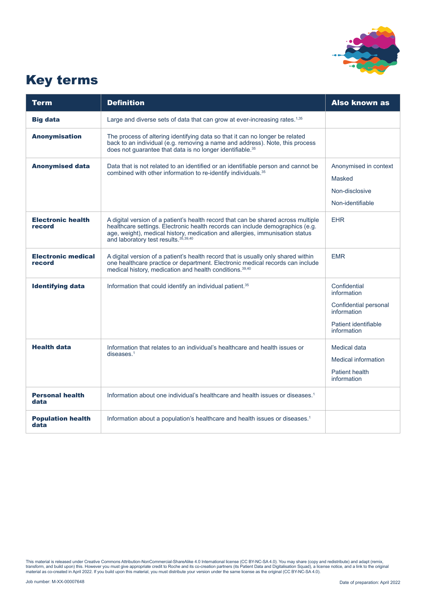

## Key terms

| <b>Term</b>                         | <b>Definition</b>                                                                                                                                                                                                                                                                           | <b>Also known as</b>                                                                                       |
|-------------------------------------|---------------------------------------------------------------------------------------------------------------------------------------------------------------------------------------------------------------------------------------------------------------------------------------------|------------------------------------------------------------------------------------------------------------|
| <b>Big data</b>                     | Large and diverse sets of data that can grow at ever-increasing rates. <sup>1,35</sup>                                                                                                                                                                                                      |                                                                                                            |
| <b>Anonymisation</b>                | The process of altering identifying data so that it can no longer be related<br>back to an individual (e.g. removing a name and address). Note, this process<br>does not quarantee that data is no longer identifiable. <sup>35</sup>                                                       |                                                                                                            |
| <b>Anonymised data</b>              | Data that is not related to an identified or an identifiable person and cannot be<br>combined with other information to re-identify individuals. <sup>35</sup>                                                                                                                              | Anonymised in context<br>Masked<br>Non-disclosive<br>Non-identifiable                                      |
| <b>Electronic health</b><br>record  | A digital version of a patient's health record that can be shared across multiple<br>healthcare settings. Electronic health records can include demographics (e.g.<br>age, weight), medical history, medication and allergies, immunisation status<br>and laboratory test results. 35,39,40 | <b>EHR</b>                                                                                                 |
| <b>Electronic medical</b><br>record | A digital version of a patient's health record that is usually only shared within<br>one healthcare practice or department. Electronic medical records can include<br>medical history, medication and health conditions. 39,40                                                              | <b>EMR</b>                                                                                                 |
| <b>Identifying data</b>             | Information that could identify an individual patient. <sup>35</sup>                                                                                                                                                                                                                        | Confidential<br>information<br>Confidential personal<br>information<br>Patient identifiable<br>information |
| <b>Health data</b>                  | Information that relates to an individual's healthcare and health issues or<br>diseases. <sup>1</sup>                                                                                                                                                                                       | <b>Medical data</b><br><b>Medical information</b><br>Patient health<br>information                         |
| <b>Personal health</b><br>data      | Information about one individual's healthcare and health issues or diseases. <sup>1</sup>                                                                                                                                                                                                   |                                                                                                            |
| <b>Population health</b><br>data    | Information about a population's healthcare and health issues or diseases. <sup>1</sup>                                                                                                                                                                                                     |                                                                                                            |

This material is released under Creative Commons Attribution-NonCommercial-ShareAlike 4.0 International license (CC BY-NC-SA 4.0). You may share (copy and redistribute) and adapt (remix,<br>transform, and build upon) this. Ho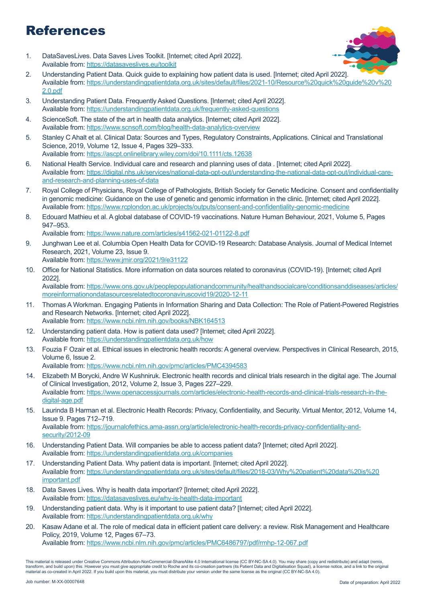## References

1. DataSavesLives. Data Saves Lives Toolkit. [Internet; cited April 2022]. Available from:<https://datasaveslives.eu/toolkit>



- 2. Understanding Patient Data. Quick guide to explaining how patient data is used. [Internet; cited April 2022]. Available from: [https://understandingpatientdata.org.uk/sites/default/files/2021-10/Resource%20quick%20guide%20v%20](https://understandingpatientdata.org.uk/sites/default/files/2021-10/Resource%20quick%20guide%20v%202.0.pdf) [2.0.pdf](https://understandingpatientdata.org.uk/sites/default/files/2021-10/Resource%20quick%20guide%20v%202.0.pdf)
- 3. Understanding Patient Data. Frequently Asked Questions. [Internet; cited April 2022]. Available from:<https://understandingpatientdata.org.uk/frequently-asked-questions>
- 4. ScienceSoft. The state of the art in health data analytics. [Internet; cited April 2022]. Available from:<https://www.scnsoft.com/blog/health-data-analytics-overview>
- 5. Stanley C Ahalt et al. Clinical Data: Sources and Types, Regulatory Constraints, Applications. Clinical and Translational Science, 2019, Volume 12, Issue 4, Pages 329–333. Available from:<https://ascpt.onlinelibrary.wiley.com/doi/10.1111/cts.12638>
- 6. National Health Service. Individual care and research and planning uses of data . [Internet; cited April 2022]. Available from: [https://digital.nhs.uk/services/national-data-opt-out/understanding-the-national-data-opt-out/individual-care](https://digital.nhs.uk/services/national-data-opt-out/understanding-the-national-data-opt-out/individual-care-and-research-and-planning-uses-of-data)[and-research-and-planning-uses-of-data](https://digital.nhs.uk/services/national-data-opt-out/understanding-the-national-data-opt-out/individual-care-and-research-and-planning-uses-of-data)
- 7. Royal College of Physicians, Royal College of Pathologists, British Society for Genetic Medicine. Consent and confidentiality in genomic medicine: Guidance on the use of genetic and genomic information in the clinic. [Internet; cited April 2022]. Available from: <https://www.rcplondon.ac.uk/projects/outputs/consent-and-confidentiality-genomic-medicine>
- 8. Edouard Mathieu et al. A global database of COVID-19 vaccinations. Nature Human Behaviour, 2021, Volume 5, Pages 947–953.

Available from:<https://www.nature.com/articles/s41562-021-01122-8.pdf>

- 9. Junghwan Lee et al. Columbia Open Health Data for COVID-19 Research: Database Analysis. Journal of Medical Internet Research, 2021, Volume 23, Issue 9. Available from:<https://www.jmir.org/2021/9/e31122>
- 10. Office for National Statistics. More information on data sources related to coronavirus (COVID-19). [Internet; cited April 2022]. Available from: [https://www.ons.gov.uk/peoplepopulationandcommunity/healthandsocialcare/conditionsanddiseases/articles/](https://www.ons.gov.uk/peoplepopulationandcommunity/healthandsocialcare/conditionsanddiseases/articles/moreinformationondatasourcesrelatedtocoronaviruscovid19/2020-12-11) [moreinformationondatasourcesrelatedtocoronaviruscovid19/2020-12-11](https://www.ons.gov.uk/peoplepopulationandcommunity/healthandsocialcare/conditionsanddiseases/articles/moreinformationondatasourcesrelatedtocoronaviruscovid19/2020-12-11)
- 11. Thomas A Workman. Engaging Patients in Information Sharing and Data Collection: The Role of Patient-Powered Registries and Research Networks. [Internet; cited April 2022]. Available from:<https://www.ncbi.nlm.nih.gov/books/NBK164513>
- 12. Understanding patient data. How is patient data used? [Internet; cited April 2022]. Available from:<https://understandingpatientdata.org.uk/how>
- 13. Fouzia F Ozair et al. Ethical issues in electronic health records: A general overview. Perspectives in Clinical Research, 2015, Volume 6, Issue 2.
	- Available from:<https://www.ncbi.nlm.nih.gov/pmc/articles/PMC4394583>
- 14. Elizabeth M Borycki, Andre W Kushniruk. Electronic health records and clinical trials research in the digital age. The Journal of Clinical Investigation, 2012, Volume 2, Issue 3, Pages 227–229. Available from: [https://www.openaccessjournals.com/articles/electronic-health-records-and-clinical-trials-research-in-the](https://www.openaccessjournals.com/articles/electronic-health-records-and-clinical-trials-research-in-the-digital-age.pdf)[digital-age.pdf](https://www.openaccessjournals.com/articles/electronic-health-records-and-clinical-trials-research-in-the-digital-age.pdf)
- 15. Laurinda B Harman et al. Electronic Health Records: Privacy, Confidentiality, and Security. Virtual Mentor, 2012, Volume 14, Issue 9. Pages 712–719. Available from: [https://journalofethics.ama-assn.org/article/electronic-health-records-privacy-confidentiality-and](https://journalofethics.ama-assn.org/article/electronic-health-records-privacy-confidentiality-and-security/2012-09)[security/2012-09](https://journalofethics.ama-assn.org/article/electronic-health-records-privacy-confidentiality-and-security/2012-09)
- 16. Understanding Patient Data. Will companies be able to access patient data? [Internet; cited April 2022]. Available from:<https://understandingpatientdata.org.uk/companies>
- 17. Understanding Patient Data. Why patient data is important. [Internet; cited April 2022]. Available from: [https://understandingpatientdata.org.uk/sites/default/files/2018-03/Why%20patient%20data%20is%20](https://understandingpatientdata.org.uk/sites/default/files/2018-03/Why%20patient%20data%20is%20important.pdf) [important.pdf](https://understandingpatientdata.org.uk/sites/default/files/2018-03/Why%20patient%20data%20is%20important.pdf)
- 18. Data Saves Lives. Why is health data important? [Internet; cited April 2022]. Available from:<https://datasaveslives.eu/why-is-health-data-important>
- 19. Understanding patient data. Why is it important to use patient data? [Internet; cited April 2022]. Available from:<https://understandingpatientdata.org.uk/why>
- 20. Kasaw Adane et al. The role of medical data in efficient patient care delivery: a review. Risk Management and Healthcare Policy, 2019, Volume 12, Pages 67–73.

Available from:<https://www.ncbi.nlm.nih.gov/pmc/articles/PMC6486797/pdf/rmhp-12-067.pdf>